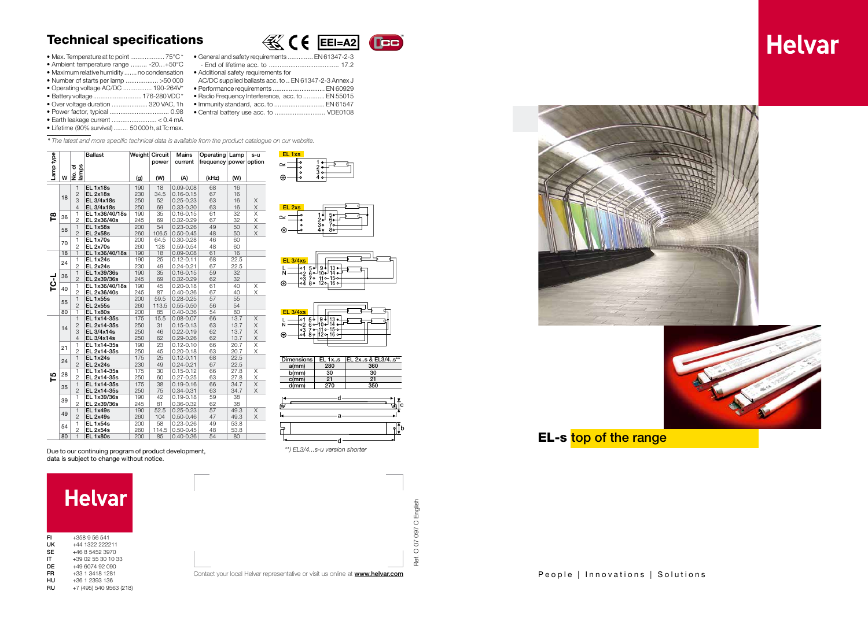|    | <b>Helvar</b>           |
|----|-------------------------|
| FI | $+358956541$            |
| UΚ | +44 1322 222211         |
| SE | +46 8 5452 3970         |
| IΤ | +39 02 55 30 10 33      |
| DE | +49 6074 92 090         |
| FR | +33 1 3418 1281         |
| нu | +36 1 2393 136          |
| RU | +7 (495) 540 9563 (218) |

| EL 1xs |   |                 |  |
|--------|---|-----------------|--|
| ⊝      | ٥ | $\frac{5}{4}$ o |  |

 $\mathbb{K}$  (  $\epsilon$  EEI=A2

**TEB** 

| $2\cdot$<br>$\overline{3}$ o<br>7 <sub>o</sub><br>٥ | EL 2xs |         |  |
|-----------------------------------------------------|--------|---------|--|
|                                                     | Ð      | .<br>Ro |  |

| EL <sub>3/4xs</sub> |  |                                                                  |  |  |
|---------------------|--|------------------------------------------------------------------|--|--|
|                     |  | $\frac{501}{26}$ 5 $\frac{9}{10}$ $\frac{13}{14}$ $\frac{1}{10}$ |  |  |
| ÷                   |  | l∘3 7° 11°15°<br>∘4 8° 12° 16°                                   |  |  |

| <b>EL 3/4xs</b> |  |  |                                                                                                      |  |  |  |
|-----------------|--|--|------------------------------------------------------------------------------------------------------|--|--|--|
|                 |  |  | $-0.1$ 5 $-$ 9 $-$ 13 $-$<br>-0.2 6 $-$ 10 $-$ 14 $-$<br>-0.3 7 0 11 0 15 0 -<br>-04 8 0 12 0 16 0 - |  |  |  |
|                 |  |  |                                                                                                      |  |  |  |

# Technical specifications

- Max. Temperature at tc point .................... 75°C \*
- • Ambient temperature range ......... -20…+50°C
- Maximum relative humidity ....... no condensation Additional safety requirements for
- • Number of starts per lamp .................. >50 000
- • Operating voltage AC/DC ................ 190-264V\* • Battery voltage ........................... 176-280 VDC \*
- • Over voltage duration .................... 320 VAC, 1h
- • Power factor, typical ................................. 0.98
- • Earth leakage current ......................... < 0.4 mA
- Lifetime (90% survival) ........ 50 000 h, at Tc max.

| Dimensions | EL 1x <sub></sub> s | <b>IEL 2xs &amp; EL3/4s**</b> |
|------------|---------------------|-------------------------------|
| $a$ (mm)   | 280                 | 360                           |
| $b$ (mm)   | 30                  | 30                            |
| $c$ (mm)   | 21                  | 21                            |
| d(mm)      | 270                 | 350                           |





EL-s top of the range









- • General and safety requirements .............. EN 61347-2-3 - End of lifetime acc. to ....................................... 17.2 AC/DC supplied ballasts acc. to .. EN 61347-2-3 Annex J
- • Performance requirements ............................. EN 60929
- Radio Frequency Interference, acc. to ............ EN 55015
- Immunity standard, acc. to ............................ EN 61547
- • Central battery use acc. to ............................ VDE0108
- *\* The latest and more specific technical data is available from the product catalogue on our website.*

|              |    |                                | <b>Ballast</b>                                                                                     | Weight Circuit |             | Mains                          | Operating Lamp         |              | $S-U$                   |
|--------------|----|--------------------------------|----------------------------------------------------------------------------------------------------|----------------|-------------|--------------------------------|------------------------|--------------|-------------------------|
|              |    |                                |                                                                                                    |                | power       | current                        | frequency power option |              |                         |
| Lamp type    |    | No. of<br>lamps                |                                                                                                    |                |             |                                |                        |              |                         |
|              | W  |                                |                                                                                                    | (g)            | (W)         | (A)                            | (kHz)                  | (W)          |                         |
|              |    | $\overline{1}$                 | <b>EL 1x18s</b>                                                                                    | 190            | 18          | $0.09 - 0.08$                  | 68                     | 16           |                         |
|              | 18 | $\overline{2}$                 | <b>EL 2x18s</b>                                                                                    | 230            | 34.5        | $0.16 - 0.15$                  | 67                     | 16           |                         |
|              |    | 3                              | EL 3/4x18s                                                                                         | 250            | 52          | $0.25 - 0.23$                  | 63                     | 16           | X                       |
|              |    | 4                              | EL 3/4x18s                                                                                         | 250            | 69          | 0.33-0.30                      | 63                     | 16           | X                       |
| $\mathbf{r}$ | 36 | $\mathbf{1}$                   | EL 1x36/40/18s                                                                                     | 190            | 35          | $0.16 - 0.15$                  | 61                     | 32           | $\overline{\mathsf{x}}$ |
|              |    | $\overline{2}$                 | EL 2x36/40s                                                                                        | 245            | 69          | $0.32 - 0.29$                  | 67                     | 32           | $\times$                |
|              | 58 | $\mathbf{1}$                   | <b>EL 1x58s</b>                                                                                    | 200            | 54          | 0.23-0.26                      | 49                     | 50           | $\overline{\mathsf{x}}$ |
|              |    | $\overline{2}$                 | <b>EL 2x58s</b>                                                                                    | 260            | 106.5       | $0.50 - 0.45$                  | 48                     | 50           | X                       |
|              | 70 | 1<br>$\overline{2}$            | <b>EL 1x70s</b><br><b>EL 2x70s</b>                                                                 | 200<br>260     | 64.5<br>128 | $0.30 - 0.28$<br>$0.59 - 0.54$ | 46<br>48               | 60<br>60     |                         |
|              | 18 | $\mathbf{1}$                   | EL 1x36/40/18s                                                                                     | 190            | 18          | $0.09 - 0.08$                  | 61                     | 16           |                         |
|              |    | $\mathbf{1}$                   | <b>EL 1x24s</b>                                                                                    | 190            | 25          | $0.12 - 0.11$                  | 68                     | 22.5         |                         |
|              | 24 | $\overline{c}$                 | <b>EL 2x24s</b>                                                                                    | 230            | 49          | $0.24 - 0.21$                  | 67                     | 22.5         |                         |
|              |    | $\overline{1}$                 | EL 1x39/36s                                                                                        | 190            | 35          | $0.16 - 0.15$                  | 59                     | 32           |                         |
| <b>TC-L</b>  | 36 | $\overline{2}$                 | EL 2x39/36s                                                                                        | 245            | 69          | $0.32 - 0.29$                  | 62                     | 32           |                         |
|              | 40 | 1                              | EL 1x36/40/18s                                                                                     | 190            | 45          | $0.20 - 0.18$                  | 61                     | 40           | Χ                       |
|              |    | $\overline{c}$                 | EL 2x36/40s                                                                                        | 245            | 87          | $0.40 - 0.36$                  | 67                     | 40           | Χ                       |
|              | 55 | $\mathbf{1}$                   | <b>EL 1x55s</b>                                                                                    | 200            | 59.5        | $0.28 - 0.25$                  | 57                     | 55           |                         |
|              |    | $\overline{c}$                 | <b>EL 2x55s</b>                                                                                    | 260            | 113.5       | $0.55 - 0.50$                  | 56                     | 54           |                         |
|              | 80 | $\mathbf{1}$                   | <b>EL 1x80s</b>                                                                                    | 200            | 85          | $0.40 - 0.36$                  | 54                     | 80           |                         |
|              |    | $\mathbf{1}$                   | EL 1x14-35s                                                                                        | 175            | 15.5        | $0.08 - 0.07$                  | 66                     | 13.7         | Χ                       |
|              | 14 | $\overline{c}$<br>3            | EL 2x14-35s<br>EL 3/4x14s                                                                          | 250<br>250     | 31<br>46    | $0.15 - 0.13$<br>$0.22 - 0.19$ | 63<br>62               | 13.7<br>13.7 | X<br>Χ                  |
|              |    | $\overline{4}$                 | EL 3/4x14s                                                                                         | 250            | 62          | $0.29 - 0.26$                  | 62                     | 13.7         | $\times$                |
|              |    | $\mathbf{1}$                   | EL 1x14-35s                                                                                        | 190            | 23          | $0.12 - 0.10$                  | 66                     | 20.7         | $\overline{\mathsf{x}}$ |
|              | 21 | $\overline{2}$                 | EL 2x14-35s                                                                                        | 250            | 45          | $0.20 - 0.18$                  | 63                     | 20.7         | Χ                       |
|              |    | $\mathbf{1}$                   | <b>EL 1x24s</b>                                                                                    | 175            | 25          | $0.12 - 0.11$                  | 68                     | 22.5         |                         |
|              | 24 | $\overline{2}$                 | <b>EL 2x24s</b>                                                                                    | 230            | 49          | $0.24 - 0.21$                  | 67                     | 22.5         |                         |
|              | 28 | $\mathbf{1}$                   | EL 1x14-35s                                                                                        | 175            | 30          | $0.15 - 0.12$                  | 66                     | 27.8         | Χ                       |
| 51           |    | $\overline{c}$                 | EL 2x14-35s                                                                                        | 250            | 60          | $0.27 - 0.25$                  | 63                     | 27.8         | $\times$                |
|              | 35 | $\mathbf{1}$                   | EL 1x14-35s                                                                                        | 175            | 38          | $0.19 - 0.16$                  | 66                     | 34.7         | Χ                       |
|              |    | $\overline{c}$                 | EL 2x14-35s                                                                                        | 250            | 75          | $0.34 - 0.31$                  | 63                     | 34.7         | $\mathsf X$             |
|              | 39 | $\mathbf{1}$<br>$\overline{2}$ | EL 1x39/36s                                                                                        | 190            | 42          | $0.19 - 0.18$                  | 59                     | 38           |                         |
|              |    | $\overline{1}$                 | EL 2x39/36s<br><b>EL 1x49s</b>                                                                     | 245<br>190     | 81<br>52.5  | 0.36-0.32<br>$0.25 - 0.23$     | 62<br>57               | 38<br>49.3   | $\mathsf X$             |
|              | 49 | $\overline{2}$                 | <b>EL 2x49s</b>                                                                                    | 260            | 104         | $0.50 - 0.46$                  | 47                     | 49.3         | X                       |
|              |    | $\mathbf{1}$                   | <b>EL 1x54s</b>                                                                                    | 200            | 58          | $0.23 - 0.26$                  | 49                     | 53.8         |                         |
|              | 54 | $\overline{2}$                 | <b>EL 2x54s</b>                                                                                    | 260            | 114.5       | $0.50 - 0.45$                  | 48                     | 53.8         |                         |
|              | 80 | $\mathbf{1}$                   | <b>EL 1x80s</b>                                                                                    | 200            | 85          | $0.40 - 0.36$                  | 54                     | 80           |                         |
|              |    |                                | Due to our continuing program of product development,<br>data is subject to change without notice. |                |             |                                |                        |              |                         |

*\*\*) EL3/4...s-u version shorter*